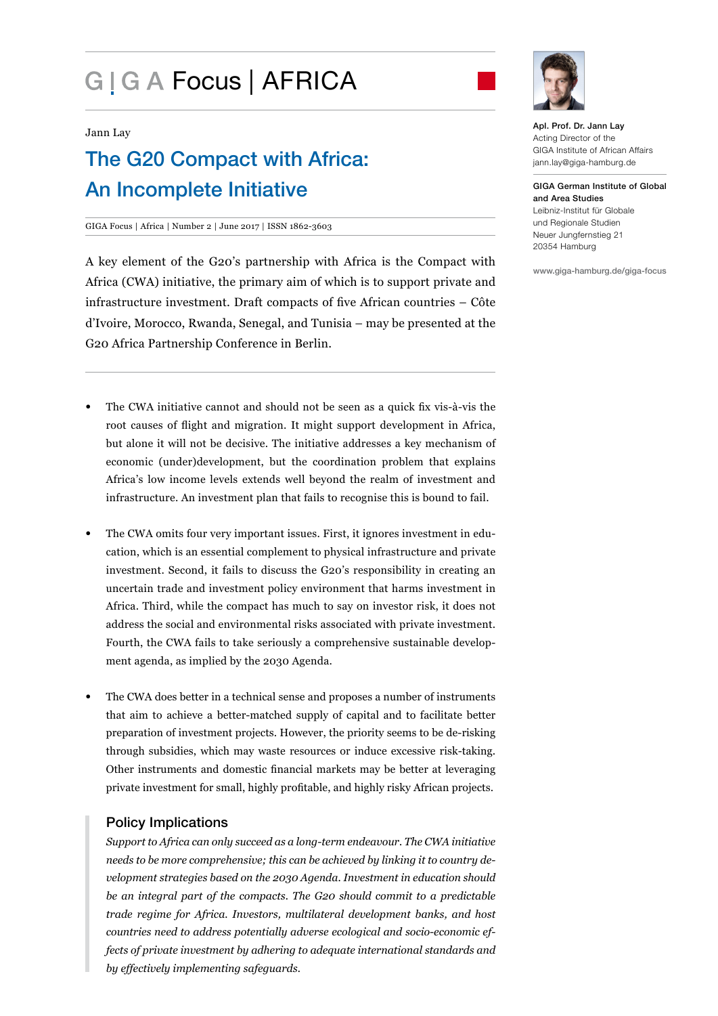# G | G A Focus | AFRICA



Jann Lay

## The G20 Compact with Africa: An Incomplete Initiative

GIGA Focus | Africa | Number 2 | June 2017 | ISSN 1862-3603

A key element of the G20's partnership with Africa is the Compact with Africa (CWA) initiative, the primary aim of which is to support private and infrastructure investment. Draft compacts of five African countries – Côte d'Ivoire, Morocco, Rwanda, Senegal, and Tunisia – may be presented at the G20 Africa Partnership Conference in Berlin.

- The CWA initiative cannot and should not be seen as a quick fix vis-à-vis the root causes of flight and migration. It might support development in Africa, but alone it will not be decisive. The initiative addresses a key mechanism of economic (under)development, but the coordination problem that explains Africa's low income levels extends well beyond the realm of investment and infrastructure. An investment plan that fails to recognise this is bound to fail.
- The CWA omits four very important issues. First, it ignores investment in education, which is an essential complement to physical infrastructure and private investment. Second, it fails to discuss the G20's responsibility in creating an uncertain trade and investment policy environment that harms investment in Africa. Third, while the compact has much to say on investor risk, it does not address the social and environmental risks associated with private investment. Fourth, the CWA fails to take seriously a comprehensive sustainable development agenda, as implied by the 2030 Agenda.
- The CWA does better in a technical sense and proposes a number of instruments that aim to achieve a better-matched supply of capital and to facilitate better preparation of investment projects. However, the priority seems to be de-risking through subsidies, which may waste resources or induce excessive risk-taking. Other instruments and domestic financial markets may be better at leveraging private investment for small, highly profitable, and highly risky African projects.

### Policy Implications

*Support to Africa can only succeed as a long-term endeavour. The CWA initiative needs to be more comprehensive; this can be achieved by linking it to country development strategies based on the 2030 Agenda. Investment in education should be an integral part of the compacts. The G20 should commit to a predictable trade regime for Africa. Investors, multilateral development banks, and host countries need to address potentially adverse ecological and socio-economic effects of private investment by adhering to adequate international standards and by effectively implementing safeguards.*

Apl. Prof. Dr. Jann Lay Acting Director of the GIGA Institute of African Affairs jann.lay@giga-hamburg.de

GIGA German Institute of Global and Area Studies Leibniz-Institut für Globale und Regionale Studien Neuer Jungfernstieg 21 20354 Hamburg

www.giga-hamburg.de/giga-focus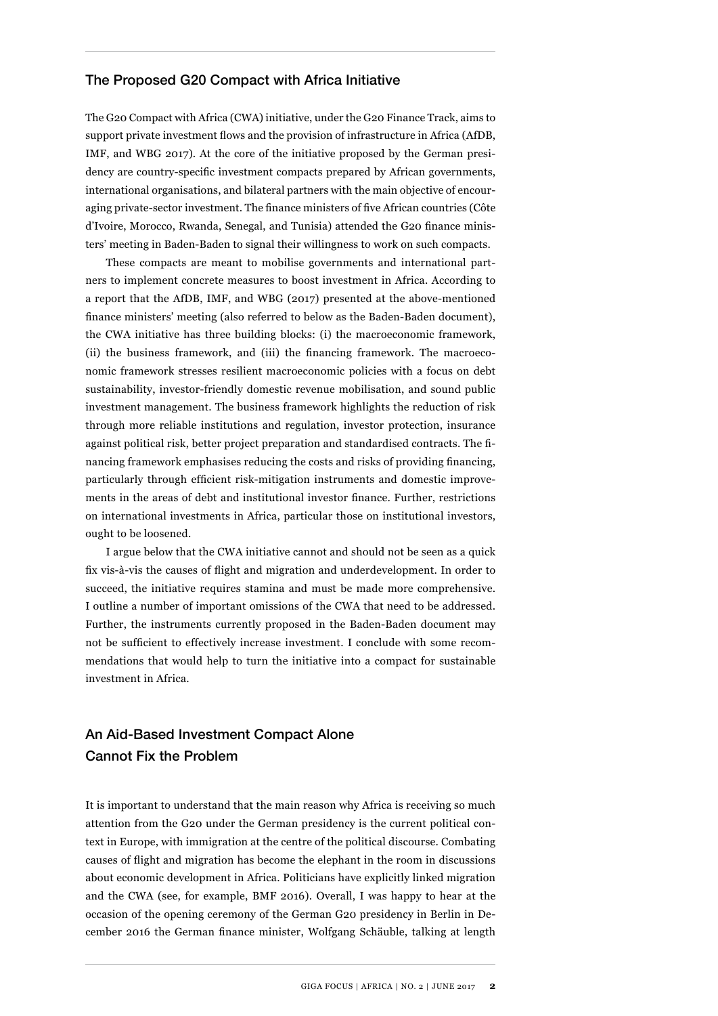#### The Proposed G20 Compact with Africa Initiative

The G20 Compact with Africa (CWA) initiative, under the G20 Finance Track, aims to support private investment flows and the provision of infrastructure in Africa (AfDB, IMF, and WBG 2017). At the core of the initiative proposed by the German presidency are country-specific investment compacts prepared by African governments, international organisations, and bilateral partners with the main objective of encouraging private-sector investment. The finance ministers of five African countries (Côte d'Ivoire, Morocco, Rwanda, Senegal, and Tunisia) attended the G20 finance ministers' meeting in Baden-Baden to signal their willingness to work on such compacts.

These compacts are meant to mobilise governments and international partners to implement concrete measures to boost investment in Africa. According to a report that the AfDB, IMF, and WBG (2017) presented at the above-mentioned finance ministers' meeting (also referred to below as the Baden-Baden document), the CWA initiative has three building blocks: (i) the macroeconomic framework, (ii) the business framework, and (iii) the financing framework. The macroeconomic framework stresses resilient macroeconomic policies with a focus on debt sustainability, investor-friendly domestic revenue mobilisation, and sound public investment management. The business framework highlights the reduction of risk through more reliable institutions and regulation, investor protection, insurance against political risk, better project preparation and standardised contracts. The financing framework emphasises reducing the costs and risks of providing financing, particularly through efficient risk-mitigation instruments and domestic improvements in the areas of debt and institutional investor finance. Further, restrictions on international investments in Africa, particular those on institutional investors, ought to be loosened.

I argue below that the CWA initiative cannot and should not be seen as a quick fix vis-à-vis the causes of flight and migration and underdevelopment. In order to succeed, the initiative requires stamina and must be made more comprehensive. I outline a number of important omissions of the CWA that need to be addressed. Further, the instruments currently proposed in the Baden-Baden document may not be sufficient to effectively increase investment. I conclude with some recommendations that would help to turn the initiative into a compact for sustainable investment in Africa.

## An Aid-Based Investment Compact Alone Cannot Fix the Problem

It is important to understand that the main reason why Africa is receiving so much attention from the G20 under the German presidency is the current political context in Europe, with immigration at the centre of the political discourse. Combating causes of flight and migration has become the elephant in the room in discussions about economic development in Africa. Politicians have explicitly linked migration and the CWA (see, for example, BMF 2016). Overall, I was happy to hear at the occasion of the opening ceremony of the German G20 presidency in Berlin in December 2016 the German finance minister, Wolfgang Schäuble, talking at length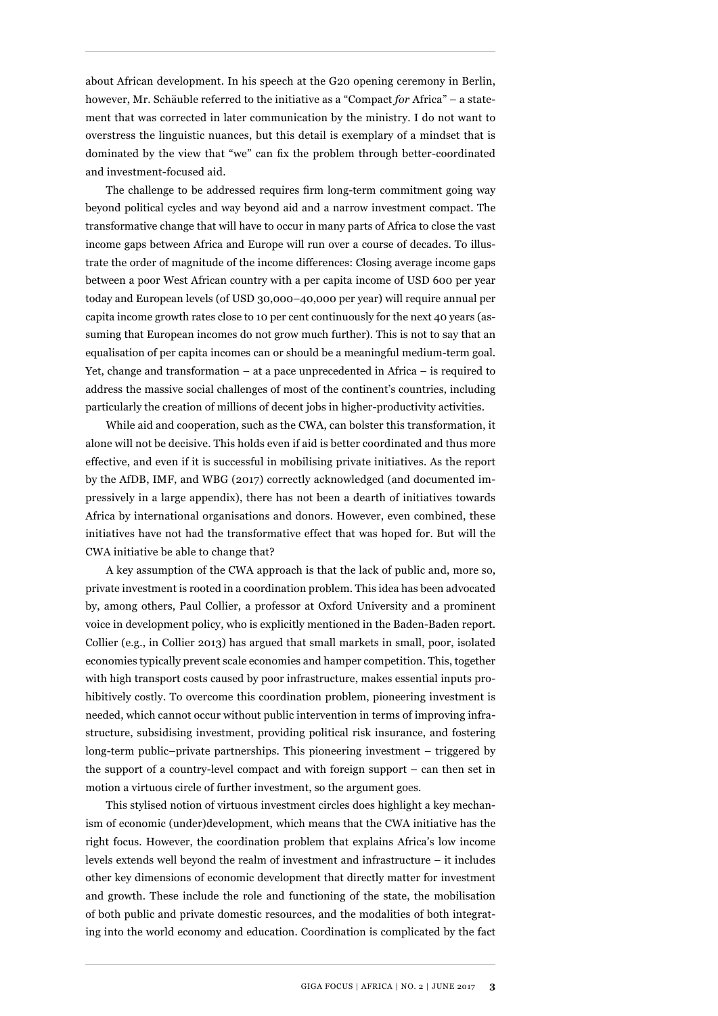about African development. In his speech at the G20 opening ceremony in Berlin, however, Mr. Schäuble referred to the initiative as a "Compact *for* Africa" – a statement that was corrected in later communication by the ministry. I do not want to overstress the linguistic nuances, but this detail is exemplary of a mindset that is dominated by the view that "we" can fix the problem through better-coordinated and investment-focused aid.

The challenge to be addressed requires firm long-term commitment going way beyond political cycles and way beyond aid and a narrow investment compact. The transformative change that will have to occur in many parts of Africa to close the vast income gaps between Africa and Europe will run over a course of decades. To illustrate the order of magnitude of the income differences: Closing average income gaps between a poor West African country with a per capita income of USD 600 per year today and European levels (of USD 30,000–40,000 per year) will require annual per capita income growth rates close to 10 per cent continuously for the next 40 years (assuming that European incomes do not grow much further). This is not to say that an equalisation of per capita incomes can or should be a meaningful medium-term goal. Yet, change and transformation – at a pace unprecedented in Africa – is required to address the massive social challenges of most of the continent's countries, including particularly the creation of millions of decent jobs in higher-productivity activities.

While aid and cooperation, such as the CWA, can bolster this transformation, it alone will not be decisive. This holds even if aid is better coordinated and thus more effective, and even if it is successful in mobilising private initiatives. As the report by the AfDB, IMF, and WBG (2017) correctly acknowledged (and documented impressively in a large appendix), there has not been a dearth of initiatives towards Africa by international organisations and donors. However, even combined, these initiatives have not had the transformative effect that was hoped for. But will the CWA initiative be able to change that?

A key assumption of the CWA approach is that the lack of public and, more so, private investment is rooted in a coordination problem. This idea has been advocated by, among others, Paul Collier, a professor at Oxford University and a prominent voice in development policy, who is explicitly mentioned in the Baden-Baden report. Collier (e.g., in Collier 2013) has argued that small markets in small, poor, isolated economies typically prevent scale economies and hamper competition. This, together with high transport costs caused by poor infrastructure, makes essential inputs prohibitively costly. To overcome this coordination problem, pioneering investment is needed, which cannot occur without public intervention in terms of improving infrastructure, subsidising investment, providing political risk insurance, and fostering long-term public–private partnerships. This pioneering investment – triggered by the support of a country-level compact and with foreign support – can then set in motion a virtuous circle of further investment, so the argument goes.

This stylised notion of virtuous investment circles does highlight a key mechanism of economic (under)development, which means that the CWA initiative has the right focus. However, the coordination problem that explains Africa's low income levels extends well beyond the realm of investment and infrastructure – it includes other key dimensions of economic development that directly matter for investment and growth. These include the role and functioning of the state, the mobilisation of both public and private domestic resources, and the modalities of both integrating into the world economy and education. Coordination is complicated by the fact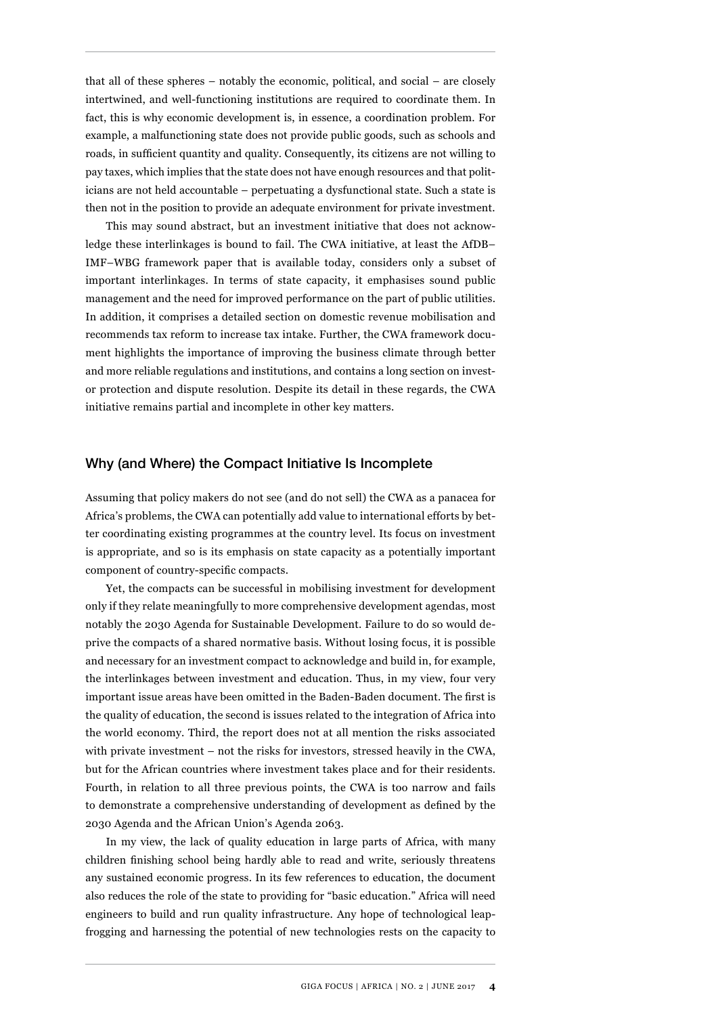that all of these spheres – notably the economic, political, and social – are closely intertwined, and well-functioning institutions are required to coordinate them. In fact, this is why economic development is, in essence, a coordination problem. For example, a malfunctioning state does not provide public goods, such as schools and roads, in sufficient quantity and quality. Consequently, its citizens are not willing to pay taxes, which implies that the state does not have enough resources and that politicians are not held accountable – perpetuating a dysfunctional state. Such a state is then not in the position to provide an adequate environment for private investment.

This may sound abstract, but an investment initiative that does not acknowledge these interlinkages is bound to fail. The CWA initiative, at least the AfDB– IMF–WBG framework paper that is available today, considers only a subset of important interlinkages. In terms of state capacity, it emphasises sound public management and the need for improved performance on the part of public utilities. In addition, it comprises a detailed section on domestic revenue mobilisation and recommends tax reform to increase tax intake. Further, the CWA framework document highlights the importance of improving the business climate through better and more reliable regulations and institutions, and contains a long section on investor protection and dispute resolution. Despite its detail in these regards, the CWA initiative remains partial and incomplete in other key matters.

#### Why (and Where) the Compact Initiative Is Incomplete

Assuming that policy makers do not see (and do not sell) the CWA as a panacea for Africa's problems, the CWA can potentially add value to international efforts by better coordinating existing programmes at the country level. Its focus on investment is appropriate, and so is its emphasis on state capacity as a potentially important component of country-specific compacts.

Yet, the compacts can be successful in mobilising investment for development only if they relate meaningfully to more comprehensive development agendas, most notably the 2030 Agenda for Sustainable Development. Failure to do so would deprive the compacts of a shared normative basis. Without losing focus, it is possible and necessary for an investment compact to acknowledge and build in, for example, the interlinkages between investment and education. Thus, in my view, four very important issue areas have been omitted in the Baden-Baden document. The first is the quality of education, the second is issues related to the integration of Africa into the world economy. Third, the report does not at all mention the risks associated with private investment – not the risks for investors, stressed heavily in the CWA, but for the African countries where investment takes place and for their residents. Fourth, in relation to all three previous points, the CWA is too narrow and fails to demonstrate a comprehensive understanding of development as defined by the 2030 Agenda and the African Union's Agenda 2063.

In my view, the lack of quality education in large parts of Africa, with many children finishing school being hardly able to read and write, seriously threatens any sustained economic progress. In its few references to education, the document also reduces the role of the state to providing for "basic education." Africa will need engineers to build and run quality infrastructure. Any hope of technological leapfrogging and harnessing the potential of new technologies rests on the capacity to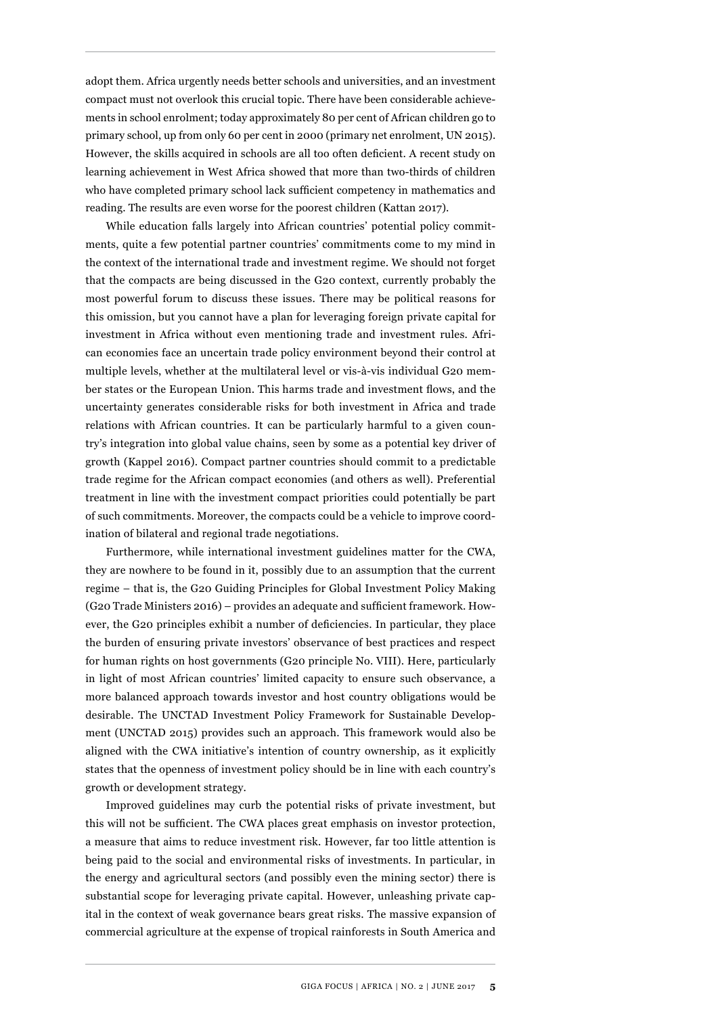adopt them. Africa urgently needs better schools and universities, and an investment compact must not overlook this crucial topic. There have been considerable achievements in school enrolment; today approximately 80 per cent of African children go to primary school, up from only 60 per cent in 2000 (primary net enrolment, UN 2015). However, the skills acquired in schools are all too often deficient. A recent study on learning achievement in West Africa showed that more than two-thirds of children who have completed primary school lack sufficient competency in mathematics and reading. The results are even worse for the poorest children (Kattan 2017).

While education falls largely into African countries' potential policy commitments, quite a few potential partner countries' commitments come to my mind in the context of the international trade and investment regime. We should not forget that the compacts are being discussed in the G20 context, currently probably the most powerful forum to discuss these issues. There may be political reasons for this omission, but you cannot have a plan for leveraging foreign private capital for investment in Africa without even mentioning trade and investment rules. African economies face an uncertain trade policy environment beyond their control at multiple levels, whether at the multilateral level or vis-à-vis individual G20 member states or the European Union. This harms trade and investment flows, and the uncertainty generates considerable risks for both investment in Africa and trade relations with African countries. It can be particularly harmful to a given country's integration into global value chains, seen by some as a potential key driver of growth (Kappel 2016). Compact partner countries should commit to a predictable trade regime for the African compact economies (and others as well). Preferential treatment in line with the investment compact priorities could potentially be part of such commitments. Moreover, the compacts could be a vehicle to improve coordination of bilateral and regional trade negotiations.

Furthermore, while international investment guidelines matter for the CWA, they are nowhere to be found in it, possibly due to an assumption that the current regime – that is, the G20 Guiding Principles for Global Investment Policy Making (G20 Trade Ministers 2016) – provides an adequate and sufficient framework. However, the G20 principles exhibit a number of deficiencies. In particular, they place the burden of ensuring private investors' observance of best practices and respect for human rights on host governments (G20 principle No. VIII). Here, particularly in light of most African countries' limited capacity to ensure such observance, a more balanced approach towards investor and host country obligations would be desirable. The UNCTAD Investment Policy Framework for Sustainable Development (UNCTAD 2015) provides such an approach. This framework would also be aligned with the CWA initiative's intention of country ownership, as it explicitly states that the openness of investment policy should be in line with each country's growth or development strategy.

Improved guidelines may curb the potential risks of private investment, but this will not be sufficient. The CWA places great emphasis on investor protection, a measure that aims to reduce investment risk. However, far too little attention is being paid to the social and environmental risks of investments. In particular, in the energy and agricultural sectors (and possibly even the mining sector) there is substantial scope for leveraging private capital. However, unleashing private capital in the context of weak governance bears great risks. The massive expansion of commercial agriculture at the expense of tropical rainforests in South America and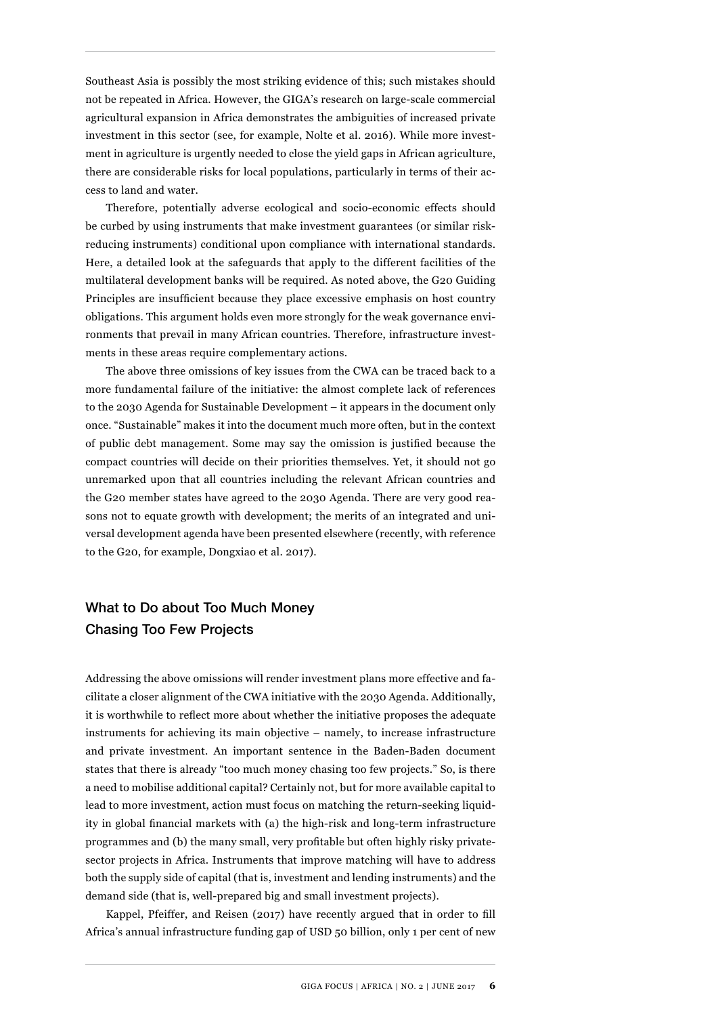Southeast Asia is possibly the most striking evidence of this; such mistakes should not be repeated in Africa. However, the GIGA's research on large-scale commercial agricultural expansion in Africa demonstrates the ambiguities of increased private investment in this sector (see, for example, Nolte et al. 2016). While more investment in agriculture is urgently needed to close the yield gaps in African agriculture, there are considerable risks for local populations, particularly in terms of their access to land and water.

Therefore, potentially adverse ecological and socio-economic effects should be curbed by using instruments that make investment guarantees (or similar riskreducing instruments) conditional upon compliance with international standards. Here, a detailed look at the safeguards that apply to the different facilities of the multilateral development banks will be required. As noted above, the G20 Guiding Principles are insufficient because they place excessive emphasis on host country obligations. This argument holds even more strongly for the weak governance environments that prevail in many African countries. Therefore, infrastructure investments in these areas require complementary actions.

The above three omissions of key issues from the CWA can be traced back to a more fundamental failure of the initiative: the almost complete lack of references to the 2030 Agenda for Sustainable Development – it appears in the document only once. "Sustainable" makes it into the document much more often, but in the context of public debt management. Some may say the omission is justified because the compact countries will decide on their priorities themselves. Yet, it should not go unremarked upon that all countries including the relevant African countries and the G20 member states have agreed to the 2030 Agenda. There are very good reasons not to equate growth with development; the merits of an integrated and universal development agenda have been presented elsewhere (recently, with reference to the G20, for example, Dongxiao et al. 2017).

## What to Do about Too Much Money Chasing Too Few Projects

Addressing the above omissions will render investment plans more effective and facilitate a closer alignment of the CWA initiative with the 2030 Agenda. Additionally, it is worthwhile to reflect more about whether the initiative proposes the adequate instruments for achieving its main objective – namely, to increase infrastructure and private investment. An important sentence in the Baden-Baden document states that there is already "too much money chasing too few projects." So, is there a need to mobilise additional capital? Certainly not, but for more available capital to lead to more investment, action must focus on matching the return-seeking liquidity in global financial markets with (a) the high-risk and long-term infrastructure programmes and (b) the many small, very profitable but often highly risky privatesector projects in Africa. Instruments that improve matching will have to address both the supply side of capital (that is, investment and lending instruments) and the demand side (that is, well-prepared big and small investment projects).

Kappel, Pfeiffer, and Reisen (2017) have recently argued that in order to fill Africa's annual infrastructure funding gap of USD 50 billion, only 1 per cent of new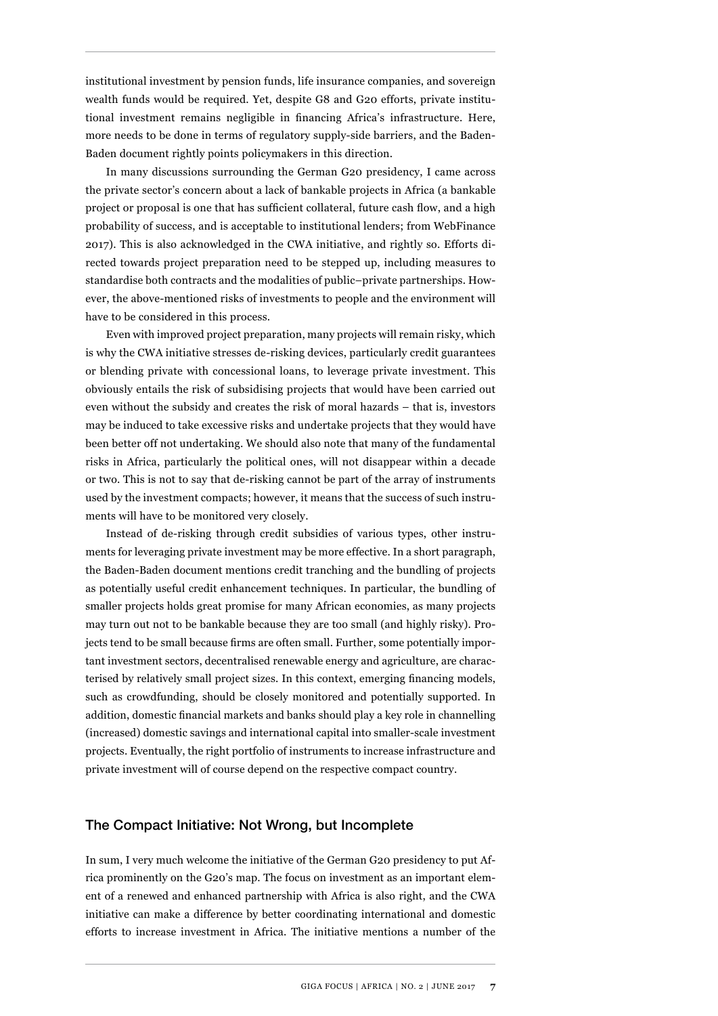institutional investment by pension funds, life insurance companies, and sovereign wealth funds would be required. Yet, despite G8 and G20 efforts, private institutional investment remains negligible in financing Africa's infrastructure. Here, more needs to be done in terms of regulatory supply-side barriers, and the Baden-Baden document rightly points policymakers in this direction.

In many discussions surrounding the German G20 presidency, I came across the private sector's concern about a lack of bankable projects in Africa (a bankable project or proposal is one that has sufficient collateral, future cash flow, and a high probability of success, and is acceptable to institutional lenders; from WebFinance 2017). This is also acknowledged in the CWA initiative, and rightly so. Efforts directed towards project preparation need to be stepped up, including measures to standardise both contracts and the modalities of public–private partnerships. However, the above-mentioned risks of investments to people and the environment will have to be considered in this process.

Even with improved project preparation, many projects will remain risky, which is why the CWA initiative stresses de-risking devices, particularly credit guarantees or blending private with concessional loans, to leverage private investment. This obviously entails the risk of subsidising projects that would have been carried out even without the subsidy and creates the risk of moral hazards – that is, investors may be induced to take excessive risks and undertake projects that they would have been better off not undertaking. We should also note that many of the fundamental risks in Africa, particularly the political ones, will not disappear within a decade or two. This is not to say that de-risking cannot be part of the array of instruments used by the investment compacts; however, it means that the success of such instruments will have to be monitored very closely.

Instead of de-risking through credit subsidies of various types, other instruments for leveraging private investment may be more effective. In a short paragraph, the Baden-Baden document mentions credit tranching and the bundling of projects as potentially useful credit enhancement techniques. In particular, the bundling of smaller projects holds great promise for many African economies, as many projects may turn out not to be bankable because they are too small (and highly risky). Projects tend to be small because firms are often small. Further, some potentially important investment sectors, decentralised renewable energy and agriculture, are characterised by relatively small project sizes. In this context, emerging financing models, such as crowdfunding, should be closely monitored and potentially supported. In addition, domestic financial markets and banks should play a key role in channelling (increased) domestic savings and international capital into smaller-scale investment projects. Eventually, the right portfolio of instruments to increase infrastructure and private investment will of course depend on the respective compact country.

#### The Compact Initiative: Not Wrong, but Incomplete

In sum, I very much welcome the initiative of the German G20 presidency to put Africa prominently on the G20's map. The focus on investment as an important element of a renewed and enhanced partnership with Africa is also right, and the CWA initiative can make a difference by better coordinating international and domestic efforts to increase investment in Africa. The initiative mentions a number of the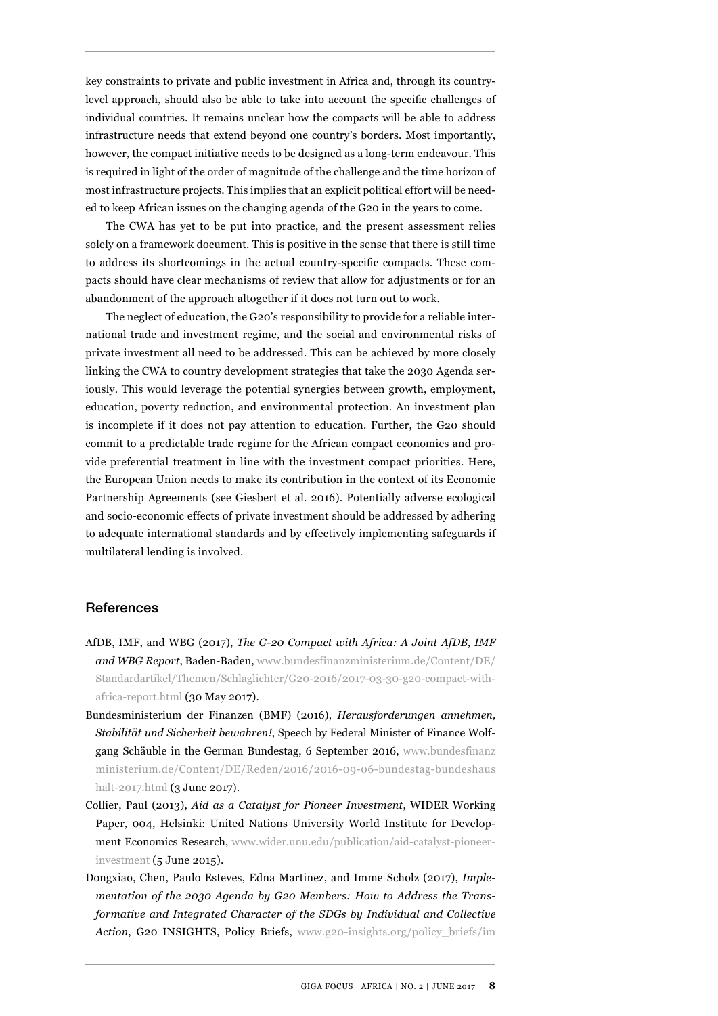key constraints to private and public investment in Africa and, through its countrylevel approach, should also be able to take into account the specific challenges of individual countries. It remains unclear how the compacts will be able to address infrastructure needs that extend beyond one country's borders. Most importantly, however, the compact initiative needs to be designed as a long-term endeavour. This is required in light of the order of magnitude of the challenge and the time horizon of most infrastructure projects. This implies that an explicit political effort will be needed to keep African issues on the changing agenda of the G20 in the years to come.

The CWA has yet to be put into practice, and the present assessment relies solely on a framework document. This is positive in the sense that there is still time to address its shortcomings in the actual country-specific compacts. These compacts should have clear mechanisms of review that allow for adjustments or for an abandonment of the approach altogether if it does not turn out to work.

The neglect of education, the G20's responsibility to provide for a reliable international trade and investment regime, and the social and environmental risks of private investment all need to be addressed. This can be achieved by more closely linking the CWA to country development strategies that take the 2030 Agenda seriously. This would leverage the potential synergies between growth, employment, education, poverty reduction, and environmental protection. An investment plan is incomplete if it does not pay attention to education. Further, the G20 should commit to a predictable trade regime for the African compact economies and provide preferential treatment in line with the investment compact priorities. Here, the European Union needs to make its contribution in the context of its Economic Partnership Agreements (see Giesbert et al. 2016). Potentially adverse ecological and socio-economic effects of private investment should be addressed by adhering to adequate international standards and by effectively implementing safeguards if multilateral lending is involved.

#### References

- AfDB, IMF, and WBG (2017), *The G-20 Compact with Africa: A Joint AfDB, IMF and WBG Report*, Baden-Baden, [www.bundesfinanzministerium.de/Content/DE/](http://www.bundesfinanzministerium.de/Content/DE/Standardartikel/Themen/Schlaglichter/G20-2016/2017-03-30-g20-compact-with-africa-report.html) [Standardartikel/Themen/Schlaglichter/G20-2016/2017-03-30-g20-compact-with](http://www.bundesfinanzministerium.de/Content/DE/Standardartikel/Themen/Schlaglichter/G20-2016/2017-03-30-g20-compact-with-africa-report.html)[africa-report.html](http://www.bundesfinanzministerium.de/Content/DE/Standardartikel/Themen/Schlaglichter/G20-2016/2017-03-30-g20-compact-with-africa-report.html) (30 May 2017).
- Bundesministerium der Finanzen (BMF) (2016), *Herausforderungen annehmen, Stabilität und Sicherheit bewahren!*, Speech by Federal Minister of Finance Wolfgang Schäuble in the German Bundestag, 6 September 2016, [www.bundesfinanz](http://www.bundesfinanzministerium.de/Content/DE/Reden/2016/2016-09-06-bundestag-bundeshaushalt-2017.html) [ministerium.de/Content/DE/Reden/2016/2016-09-06-bundestag-bundeshaus](http://www.bundesfinanzministerium.de/Content/DE/Reden/2016/2016-09-06-bundestag-bundeshaushalt-2017.html) [halt-2017.html](http://www.bundesfinanzministerium.de/Content/DE/Reden/2016/2016-09-06-bundestag-bundeshaushalt-2017.html) (3 June 2017).
- Collier, Paul (2013), *Aid as a Catalyst for Pioneer Investment*, WIDER Working Paper, 004, Helsinki: United Nations University World Institute for Development Economics Research, [www.wider.unu.edu/publication/aid-catalyst-pioneer](https://www.wider.unu.edu/publication/aid-catalyst-pioneer-investment)[investment](https://www.wider.unu.edu/publication/aid-catalyst-pioneer-investment) (5 June 2015).
- Dongxiao, Chen, Paulo Esteves, Edna Martinez, and Imme Scholz (2017), *Implementation of the 2030 Agenda by G20 Members: How to Address the Transformative and Integrated Character of the SDGs by Individual and Collective Action*, G20 INSIGHTS, Policy Briefs, [www.g20-insights.org/policy\\_briefs/im](http://www.g20-insights.org/policy_briefs/implementation-2030-agenda-g20-members-address-transformative-integrated-character-sdgs-individual-collective-action/)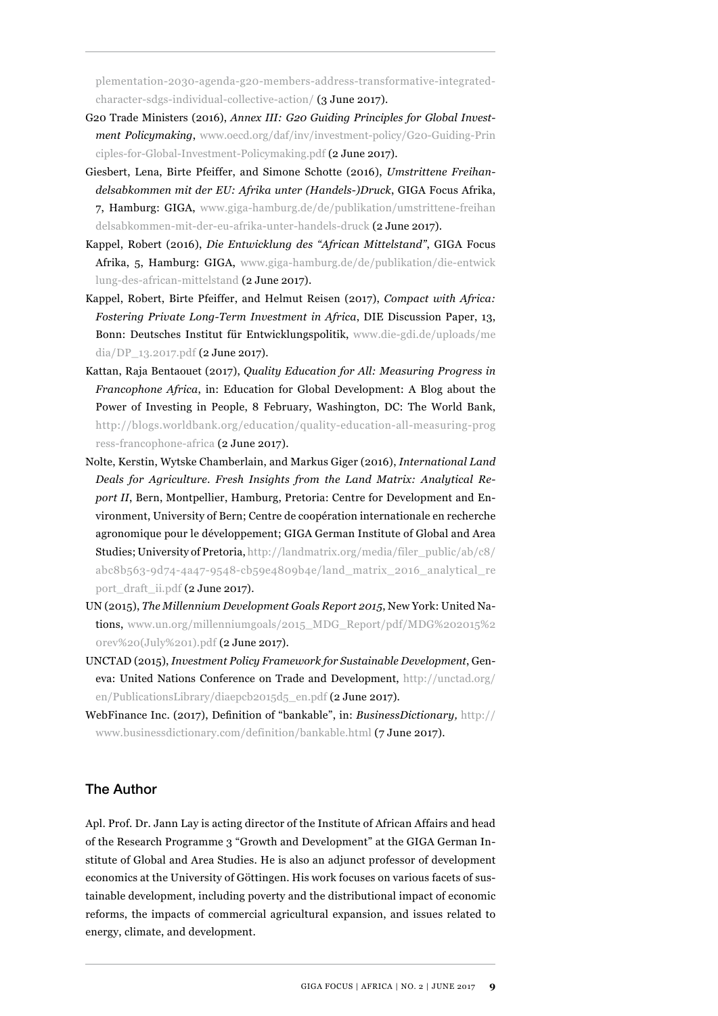[plementation-2030-agenda-g20-members-address-transformative-integrated](http://www.g20-insights.org/policy_briefs/implementation-2030-agenda-g20-members-address-transformative-integrated-character-sdgs-individual-collective-action/)[character-sdgs-individual-collective-action/](http://www.g20-insights.org/policy_briefs/implementation-2030-agenda-g20-members-address-transformative-integrated-character-sdgs-individual-collective-action/) (3 June 2017).

- G20 Trade Ministers (2016), *Annex III: G20 Guiding Principles for Global Investment Policymaking*, [www.oecd.org/daf/inv/investment-policy/G20-Guiding-Prin](http://www.oecd.org/daf/inv/investment-policy/G20-Guiding-Principles-for-Global-Investment-Policymaking.pdf) [ciples-for-Global-Investment-Policymaking.pdf](http://www.oecd.org/daf/inv/investment-policy/G20-Guiding-Principles-for-Global-Investment-Policymaking.pdf) (2 June 2017).
- Giesbert, Lena, Birte Pfeiffer, and Simone Schotte (2016), *Umstrittene Freihandelsabkommen mit der EU: Afrika unter (Handels-)Druck*, GIGA Focus Afrika, 7, Hamburg: GIGA, [www.giga-hamburg.de/de/publikation/umstrittene-freihan](https://www.giga-hamburg.de/de/publikation/umstrittene-freihandelsabkommen-mit-der-eu-afrika-unter-handels-druck) [delsabkommen-mit-der-eu-afrika-unter-handels-druck](https://www.giga-hamburg.de/de/publikation/umstrittene-freihandelsabkommen-mit-der-eu-afrika-unter-handels-druck) (2 June 2017).
- Kappel, Robert (2016), *Die Entwicklung des "African Mittelstand"*, GIGA Focus Afrika, 5, Hamburg: GIGA, [www.giga-hamburg.de/de/publikation/die-entwick](http://www.giga-hamburg.de/de/publikation/die-entwicklung-des-african-mittelstand) [lung-des-african-mittelstand](http://www.giga-hamburg.de/de/publikation/die-entwicklung-des-african-mittelstand) (2 June 2017).
- Kappel, Robert, Birte Pfeiffer, and Helmut Reisen (2017), *Compact with Africa: Fostering Private Long-Term Investment in Africa*, DIE Discussion Paper, 13, Bonn: Deutsches Institut für Entwicklungspolitik, [www.die-gdi.de/uploads/me](http://www.die-gdi.de/uploads/media/DP_13.2017.pdf) [dia/DP\\_13.2017.pdf](http://www.die-gdi.de/uploads/media/DP_13.2017.pdf) (2 June 2017).
- Kattan, Raja Bentaouet (2017), *Quality Education for All: Measuring Progress in Francophone Africa*, in: Education for Global Development: A Blog about the Power of Investing in People, 8 February, Washington, DC: The World Bank, [http://blogs.worldbank.org/education/quality-education-all-measuring-prog](http://blogs.worldbank.org/education/quality-education-all-measuring-progress-francophone-africa) [ress-francophone-africa](http://blogs.worldbank.org/education/quality-education-all-measuring-progress-francophone-africa) (2 June 2017).
- Nolte, Kerstin, Wytske Chamberlain, and Markus Giger (2016), *International Land Deals for Agriculture. Fresh Insights from the Land Matrix: Analytical Report II*, Bern, Montpellier, Hamburg, Pretoria: Centre for Development and Environment, University of Bern; Centre de coopération internationale en recherche agronomique pour le développement; GIGA German Institute of Global and Area Studies; University of Pretoria, [http://landmatrix.org/media/filer\\_public/ab/c8/](http://landmatrix.org/media/filer_public/ab/c8/abc8b563-9d74-4a47-9548-cb59e4809b4e/land_matrix_2016_analytical_report_draft_ii.pdf) [abc8b563-9d74-4a47-9548-cb59e4809b4e/land\\_matrix\\_2016\\_analytical\\_re](http://landmatrix.org/media/filer_public/ab/c8/abc8b563-9d74-4a47-9548-cb59e4809b4e/land_matrix_2016_analytical_report_draft_ii.pdf) [port\\_draft\\_ii.pdf](http://landmatrix.org/media/filer_public/ab/c8/abc8b563-9d74-4a47-9548-cb59e4809b4e/land_matrix_2016_analytical_report_draft_ii.pdf) (2 June 2017).
- UN (2015), *The Millennium Development Goals Report 2015*, New York: United Nations, [www.un.org/millenniumgoals/2015\\_MDG\\_Report/pdf/MDG%202015%2](http://www.un.org/millenniumgoals/2015_MDG_Report/pdf/MDG%202015%20rev%20(July%201).pdf) [0rev%20\(July%201\).pdf](http://www.un.org/millenniumgoals/2015_MDG_Report/pdf/MDG%202015%20rev%20(July%201).pdf) (2 June 2017).
- UNCTAD (2015), *Investment Policy Framework for Sustainable Development*, Geneva: United Nations Conference on Trade and Development, [http://unctad.org/](http://unctad.org/en/PublicationsLibrary/diaepcb2015d5_en.pdf) [en/PublicationsLibrary/diaepcb2015d5\\_en.pdf](http://unctad.org/en/PublicationsLibrary/diaepcb2015d5_en.pdf) (2 June 2017).
- WebFinance Inc. (2017), Definition of "bankable", in: *BusinessDictionary,* http:// www.businessdictionary.com/definition/bankable.html (7 June 2017).

#### The Author

Apl. Prof. Dr. Jann Lay is acting director of the Institute of African Affairs and head of the Research Programme 3 "Growth and Development" at the GIGA German Institute of Global and Area Studies. He is also an adjunct professor of development economics at the University of Göttingen. His work focuses on various facets of sustainable development, including poverty and the distributional impact of economic reforms, the impacts of commercial agricultural expansion, and issues related to energy, climate, and development.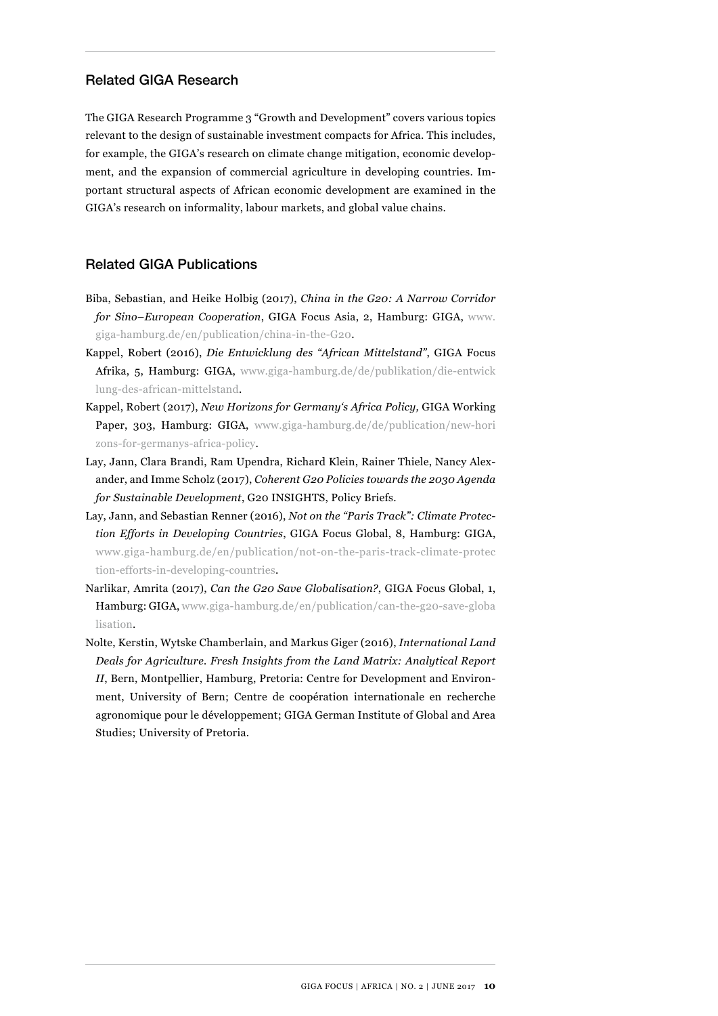#### Related GIGA Research

The GIGA Research Programme 3 "Growth and Development" covers various topics relevant to the design of sustainable investment compacts for Africa. This includes, for example, the GIGA's research on climate change mitigation, economic development, and the expansion of commercial agriculture in developing countries. Important structural aspects of African economic development are examined in the GIGA's research on informality, labour markets, and global value chains.

#### Related GIGA Publications

- Biba, Sebastian, and Heike Holbig (2017), *China in the G20: A Narrow Corridor for Sino–European Cooperation*, GIGA Focus Asia, 2, Hamburg: GIGA, [www.](http://www.giga-hamburg.de/en/publication/china-in-the-G20) [giga-hamburg.de/en/publication/china-in-the-G20](http://www.giga-hamburg.de/en/publication/china-in-the-G20).
- Kappel, Robert (2016), *Die Entwicklung des "African Mittelstand"*, GIGA Focus Afrika, 5, Hamburg: GIGA, [www.giga-hamburg.de/de/publikation/die-entwick](https://www.giga-hamburg.de/de/publikation/die-entwicklung-des-african-mittelstand) [lung-des-african-mittelstand](https://www.giga-hamburg.de/de/publikation/die-entwicklung-des-african-mittelstand).
- Kappel, Robert (2017), *New Horizons for Germany's Africa Policy,* GIGA Working Paper, 303, Hamburg: GIGA, [www.giga-hamburg.de/de/publication/new-hori](https://www.giga-hamburg.de/de/publication/new-horizons-for-germanys-africa-policy) [zons-for-germanys-africa-policy](https://www.giga-hamburg.de/de/publication/new-horizons-for-germanys-africa-policy).
- Lay, Jann, Clara Brandi, Ram Upendra, Richard Klein, Rainer Thiele, Nancy Alexander, and Imme Scholz (2017), *Coherent G20 Policies towards the 2030 Agenda for Sustainable Development*, G20 INSIGHTS, Policy Briefs.
- Lay, Jann, and Sebastian Renner (2016), *Not on the "Paris Track": Climate Protection Efforts in Developing Countries*, GIGA Focus Global, 8, Hamburg: GIGA, [www.giga-hamburg.de/en/publication/not-on-the-paris-track-climate-protec](https://www.giga-hamburg.de/en/publication/not-on-the-paris-track-climate-protection-efforts-in-developing-countries) [tion-efforts-in-developing-countries](https://www.giga-hamburg.de/en/publication/not-on-the-paris-track-climate-protection-efforts-in-developing-countries).
- Narlikar, Amrita (2017), *Can the G20 Save Globalisation?*, GIGA Focus Global, 1, Hamburg: GIGA, [www.giga-hamburg.de/en/publication/can-the-g20-save-globa](https://www.giga-hamburg.de/en/publication/can-the-g20-save-globalisation) [lisation](https://www.giga-hamburg.de/en/publication/can-the-g20-save-globalisation).
- Nolte, Kerstin, Wytske Chamberlain, and Markus Giger (2016), *International Land Deals for Agriculture. Fresh Insights from the Land Matrix: Analytical Report II*, Bern, Montpellier, Hamburg, Pretoria: Centre for Development and Environment, University of Bern; Centre de coopération internationale en recherche agronomique pour le développement; GIGA German Institute of Global and Area Studies; University of Pretoria.